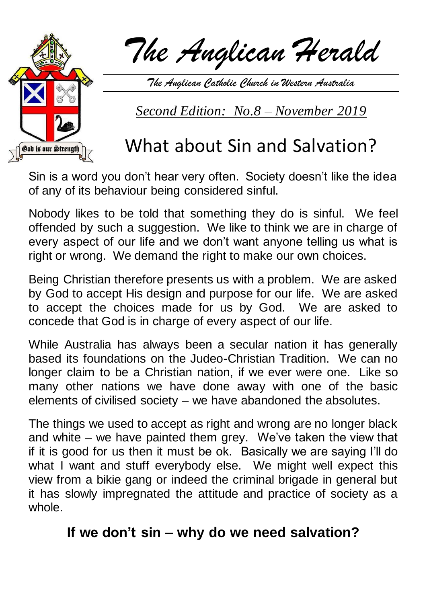

*The Anglican Herald*

*The Anglican Catholic Church in Western Australia*

*Second Edition: No.8 – November 2019*

# What about Sin and Salvation?

Sin is a word you don't hear very often. Society doesn't like the idea of any of its behaviour being considered sinful.

Nobody likes to be told that something they do is sinful. We feel offended by such a suggestion. We like to think we are in charge of every aspect of our life and we don't want anyone telling us what is right or wrong. We demand the right to make our own choices.

Being Christian therefore presents us with a problem. We are asked by God to accept His design and purpose for our life. We are asked to accept the choices made for us by God. We are asked to concede that God is in charge of every aspect of our life.

While Australia has always been a secular nation it has generally based its foundations on the Judeo-Christian Tradition. We can no longer claim to be a Christian nation, if we ever were one. Like so many other nations we have done away with one of the basic elements of civilised society – we have abandoned the absolutes.

The things we used to accept as right and wrong are no longer black and white – we have painted them grey. We've taken the view that if it is good for us then it must be ok. Basically we are saying I'll do what I want and stuff everybody else. We might well expect this view from a bikie gang or indeed the criminal brigade in general but it has slowly impregnated the attitude and practice of society as a whole.

# **If we don't sin – why do we need salvation?**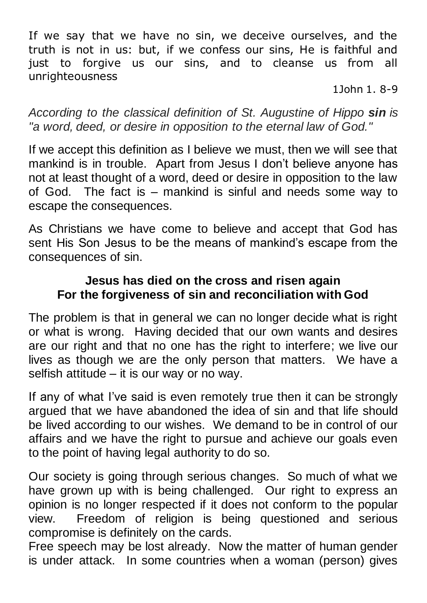If we say that we have no sin, we deceive ourselves, and the truth is not in us: but, if we confess our sins, He is faithful and just to forgive us our sins, and to cleanse us from all unrighteousness

1John 1. 8-9

*According to the classical definition of St. Augustine of Hippo sin is "a word, deed, or desire in opposition to the eternal law of God."*

If we accept this definition as I believe we must, then we will see that mankind is in trouble. Apart from Jesus I don't believe anyone has not at least thought of a word, deed or desire in opposition to the law of God. The fact is – mankind is sinful and needs some way to escape the consequences.

As Christians we have come to believe and accept that God has sent His Son Jesus to be the means of mankind's escape from the consequences of sin.

#### **Jesus has died on the cross and risen again For the forgiveness of sin and reconciliation with God**

The problem is that in general we can no longer decide what is right or what is wrong. Having decided that our own wants and desires are our right and that no one has the right to interfere; we live our lives as though we are the only person that matters. We have a selfish attitude – it is our way or no way.

If any of what I've said is even remotely true then it can be strongly argued that we have abandoned the idea of sin and that life should be lived according to our wishes. We demand to be in control of our affairs and we have the right to pursue and achieve our goals even to the point of having legal authority to do so.

Our society is going through serious changes. So much of what we have grown up with is being challenged. Our right to express an opinion is no longer respected if it does not conform to the popular view. Freedom of religion is being questioned and serious compromise is definitely on the cards.

Free speech may be lost already. Now the matter of human gender is under attack. In some countries when a woman (person) gives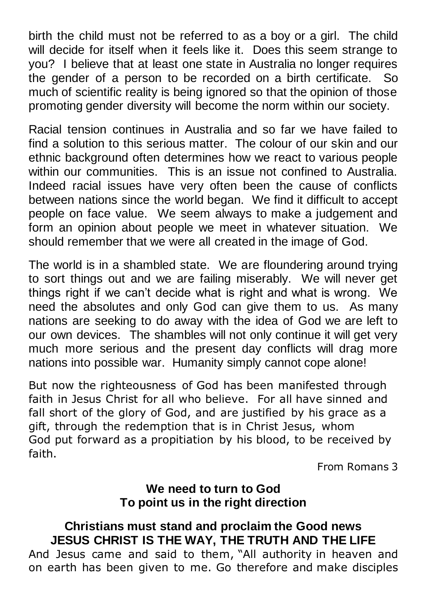birth the child must not be referred to as a boy or a girl. The child will decide for itself when it feels like it. Does this seem strange to you? I believe that at least one state in Australia no longer requires the gender of a person to be recorded on a birth certificate. So much of scientific reality is being ignored so that the opinion of those promoting gender diversity will become the norm within our society.

Racial tension continues in Australia and so far we have failed to find a solution to this serious matter. The colour of our skin and our ethnic background often determines how we react to various people within our communities. This is an issue not confined to Australia. Indeed racial issues have very often been the cause of conflicts between nations since the world began. We find it difficult to accept people on face value. We seem always to make a judgement and form an opinion about people we meet in whatever situation. We should remember that we were all created in the image of God.

The world is in a shambled state. We are floundering around trying to sort things out and we are failing miserably. We will never get things right if we can't decide what is right and what is wrong. We need the absolutes and only God can give them to us. As many nations are seeking to do away with the idea of God we are left to our own devices. The shambles will not only continue it will get very much more serious and the present day conflicts will drag more nations into possible war. Humanity simply cannot cope alone!

But now the righteousness of God has been manifested through faith in Jesus Christ for all who believe. For all have sinned and fall short of the glory of God, and are justified by his grace as a gift, through the redemption that is in Christ Jesus, whom God put forward as a propitiation by his blood, to be received by faith.

From Romans 3

#### **We need to turn to God To point us in the right direction**

### **Christians must stand and proclaim the Good news JESUS CHRIST IS THE WAY, THE TRUTH AND THE LIFE**

And Jesus came and said to them, "All authority in heaven and on earth has been given to me. Go therefore and make disciples